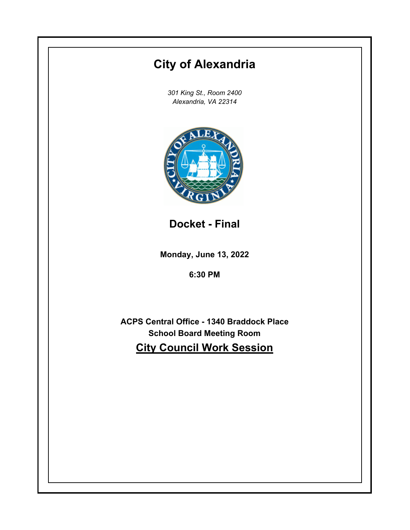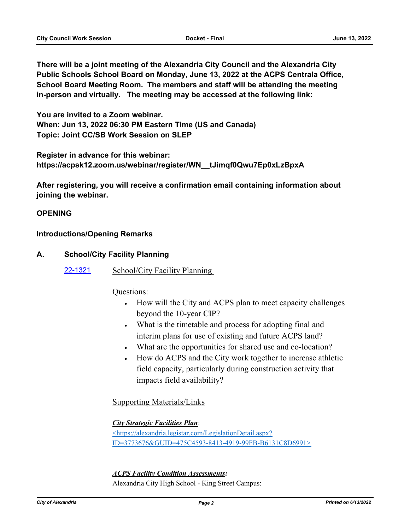**There will be a joint meeting of the Alexandria City Council and the Alexandria City Public Schools School Board on Monday, June 13, 2022 at the ACPS Centrala Office, School Board Meeting Room. The members and staff will be attending the meeting in-person and virtually. The meeting may be accessed at the following link:**

**You are invited to a Zoom webinar. When: Jun 13, 2022 06:30 PM Eastern Time (US and Canada) Topic: Joint CC/SB Work Session on SLEP**

**Register in advance for this webinar: https://acpsk12.zoom.us/webinar/register/WN\_\_tJimqf0Qwu7Ep0xLzBpxA**

**After registering, you will receive a confirmation email containing information about joining the webinar.**

# **OPENING**

### **Introductions/Opening Remarks**

# **A. School/City Facility Planning**

[22-1321](http://alexandria.legistar.com/gateway.aspx?m=l&id=/matter.aspx?key=14919) School/City Facility Planning

Questions:

- · How will the City and ACPS plan to meet capacity challenges beyond the 10-year CIP?
- · What is the timetable and process for adopting final and interim plans for use of existing and future ACPS land?
- · What are the opportunities for shared use and co-location?
- How do ACPS and the City work together to increase athletic field capacity, particularly during construction activity that impacts field availability?

Supporting Materials/Links

*City Strategic Facilities Plan*:

<https://alexandria.legistar.com/LegislationDetail.aspx? ID=3773676&GUID=475C4593-8413-4919-99FB-B6131C8D6991>

*ACPS Facility Condition Assessments:*

Alexandria City High School - King Street Campus: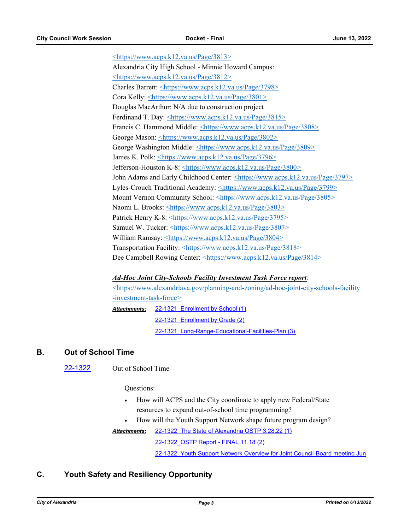<https://www.acps.k12.va.us/Page/3813> Alexandria City High School - Minnie Howard Campus: <https://www.acps.k12.va.us/Page/3812> Charles Barrett: <https://www.acps.k12.va.us/Page/3798> Cora Kelly: <https://www.acps.k12.va.us/Page/3801> Douglas MacArthur: N/A due to construction project Ferdinand T. Day: <https://www.acps.k12.va.us/Page/3815> Francis C. Hammond Middle: <https://www.acps.k12.va.us/Page/3808> George Mason: <https://www.acps.k12.va.us/Page/3802> George Washington Middle: <https://www.acps.k12.va.us/Page/3809> James K. Polk: <https://www.acps.k12.va.us/Page/3796> Jefferson-Houston K-8: <https://www.acps.k12.va.us/Page/3800> John Adams and Early Childhood Center: <https://www.acps.k12.va.us/Page/3797> Lyles-Crouch Traditional Academy: <https://www.acps.k12.va.us/Page/3799> Mount Vernon Community School: <https://www.acps.k12.va.us/Page/3805> Naomi L. Brooks: <https://www.acps.k12.va.us/Page/3803> Patrick Henry K-8: <https://www.acps.k12.va.us/Page/3795> Samuel W. Tucker: <https://www.acps.k12.va.us/Page/3807> William Ramsay: <https://www.acps.k12.va.us/Page/3804> Transportation Facility: <https://www.acps.k12.va.us/Page/3818> Dee Campbell Rowing Center: <https://www.acps.k12.va.us/Page/3814>

#### *Ad-Hoc Joint City-Schools Facility Investment Task Force report*:

<https://www.alexandriava.gov/planning-and-zoning/ad-hoc-joint-city-schools-facility -investment-task-force> Attachments: 22-1321 Enrollment by School (1) [22-1321\\_Enrollment by Grade \(2\)](http://alexandria.legistar.com/gateway.aspx?M=F&ID=acb635fb-287b-42ac-a3da-c1c0b4636287.pdf) 22-1321 Long-Range-Educational-Facilities-Plan (3)

#### **B. Out of School Time**

[22-1322](http://alexandria.legistar.com/gateway.aspx?m=l&id=/matter.aspx?key=14920) Out of School Time

Questions:

- How will ACPS and the City coordinate to apply new Federal/State resources to expand out-of-school time programming?
- How will the Youth Support Network shape future program design?

[22-1322\\_The State of Alexandria OSTP 3.28.22 \(1\)](http://alexandria.legistar.com/gateway.aspx?M=F&ID=a84bfb11-7427-4a07-aa80-1ed88c1b59fb.pdf) *Attachments:*

[22-1322\\_OSTP Report - FINAL 11.18 \(2\)](http://alexandria.legistar.com/gateway.aspx?M=F&ID=2a4a34da-24f6-4dc3-9d02-5d60074683c3.pdf)

22-1322 Youth Support Network Overview for Joint Council-Board meeting Jun

### **C. Youth Safety and Resiliency Opportunity**